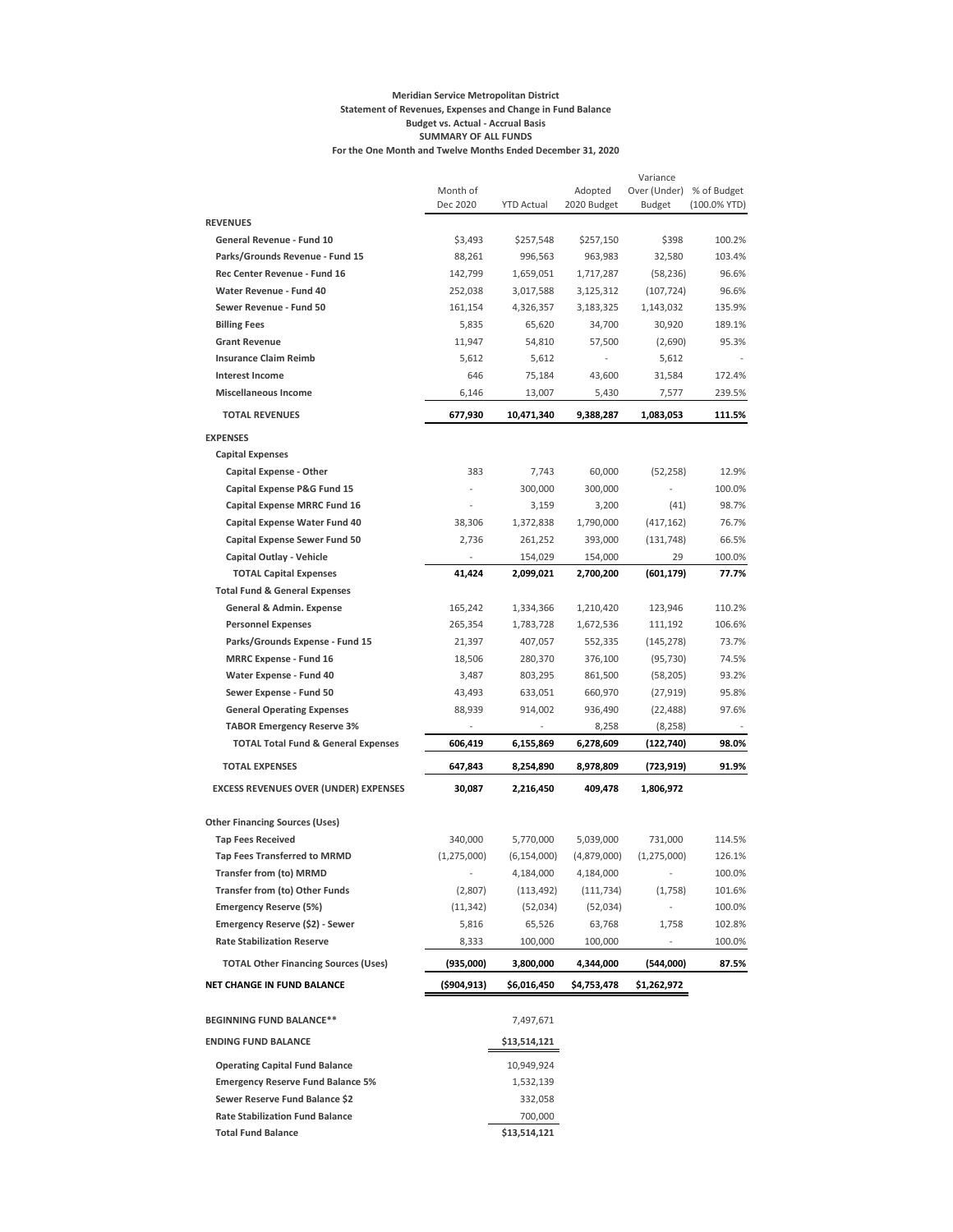#### **Meridian Service Metropolitan District Statement of Revenues, Expenses and Change in Fund Balance Budget vs. Actual - Accrual Basis SUMMARY OF ALL FUNDS For the One Month and Twelve Months Ended December 31, 2020**

|                                                                   |                 |                            |                          | Variance                 |              |
|-------------------------------------------------------------------|-----------------|----------------------------|--------------------------|--------------------------|--------------|
|                                                                   | Month of        |                            | Adopted                  | Over (Under)             | % of Budget  |
|                                                                   | Dec 2020        | <b>YTD Actual</b>          | 2020 Budget              | Budget                   | (100.0% YTD) |
| <b>REVENUES</b>                                                   |                 |                            |                          |                          |              |
| General Revenue - Fund 10                                         | \$3,493         | \$257,548                  | \$257,150                | \$398                    | 100.2%       |
| Parks/Grounds Revenue - Fund 15                                   | 88,261          | 996,563                    | 963,983                  | 32,580                   | 103.4%       |
| Rec Center Revenue - Fund 16                                      | 142,799         | 1,659,051                  | 1,717,287                | (58, 236)                | 96.6%        |
| Water Revenue - Fund 40                                           | 252,038         | 3,017,588                  | 3,125,312                | (107, 724)               | 96.6%        |
| Sewer Revenue - Fund 50                                           | 161,154         | 4,326,357                  | 3,183,325                | 1,143,032                | 135.9%       |
| <b>Billing Fees</b><br><b>Grant Revenue</b>                       | 5,835<br>11,947 | 65,620                     | 34,700                   | 30,920                   | 189.1%       |
| <b>Insurance Claim Reimb</b>                                      |                 | 54,810                     | 57,500                   | (2,690)                  | 95.3%        |
| <b>Interest Income</b>                                            | 5,612<br>646    | 5,612                      | 43,600                   | 5,612                    | 172.4%       |
| <b>Miscellaneous Income</b>                                       | 6,146           | 75,184<br>13,007           | 5,430                    | 31,584                   | 239.5%       |
| <b>TOTAL REVENUES</b>                                             | 677,930         | 10,471,340                 | 9,388,287                | 7,577<br>1,083,053       | 111.5%       |
| <b>EXPENSES</b>                                                   |                 |                            |                          |                          |              |
| <b>Capital Expenses</b>                                           |                 |                            |                          |                          |              |
| <b>Capital Expense - Other</b>                                    | 383             | 7,743                      | 60,000                   | (52, 258)                | 12.9%        |
| Capital Expense P&G Fund 15                                       |                 | 300,000                    | 300,000                  |                          | 100.0%       |
| <b>Capital Expense MRRC Fund 16</b>                               |                 | 3,159                      | 3,200                    | (41)                     | 98.7%        |
| Capital Expense Water Fund 40                                     | 38,306          | 1,372,838                  | 1,790,000                | (417, 162)               | 76.7%        |
| <b>Capital Expense Sewer Fund 50</b>                              | 2,736           | 261,252                    | 393,000                  | (131, 748)               | 66.5%        |
| Capital Outlay - Vehicle                                          |                 | 154,029                    | 154,000                  | 29                       | 100.0%       |
| <b>TOTAL Capital Expenses</b>                                     | 41,424          | 2,099,021                  | 2,700,200                | (601, 179)               | 77.7%        |
| <b>Total Fund &amp; General Expenses</b>                          |                 |                            |                          |                          |              |
| General & Admin. Expense                                          | 165,242         | 1,334,366                  | 1,210,420                | 123,946                  | 110.2%       |
| <b>Personnel Expenses</b>                                         | 265,354         | 1,783,728                  | 1,672,536                | 111,192                  | 106.6%       |
| Parks/Grounds Expense - Fund 15                                   | 21,397          | 407,057                    | 552,335                  | (145, 278)               | 73.7%        |
| <b>MRRC Expense - Fund 16</b>                                     | 18,506          | 280,370                    | 376,100                  | (95, 730)                | 74.5%        |
| Water Expense - Fund 40                                           | 3,487           | 803,295                    | 861,500                  | (58, 205)                | 93.2%        |
| Sewer Expense - Fund 50                                           | 43,493          | 633,051                    | 660,970                  | (27, 919)                | 95.8%        |
| <b>General Operating Expenses</b>                                 | 88,939          | 914,002                    | 936,490                  | (22, 488)                | 97.6%        |
| <b>TABOR Emergency Reserve 3%</b>                                 |                 |                            | 8,258                    | (8, 258)                 |              |
| <b>TOTAL Total Fund &amp; General Expenses</b>                    | 606,419         | 6,155,869                  | 6,278,609                | (122,740)                | 98.0%        |
| <b>TOTAL EXPENSES</b>                                             | 647,843         | 8,254,890                  | 8,978,809                | (723, 919)               | 91.9%        |
| <b>EXCESS REVENUES OVER (UNDER) EXPENSES</b>                      | 30,087          | 2,216,450                  | 409,478                  | 1,806,972                |              |
|                                                                   |                 |                            |                          |                          |              |
| <b>Other Financing Sources (Uses)</b><br><b>Tap Fees Received</b> | 340,000         | 5,770,000                  |                          |                          | 114.5%       |
| <b>Tap Fees Transferred to MRMD</b>                               | (1, 275, 000)   |                            | 5,039,000<br>(4,879,000) | 731,000<br>(1, 275, 000) | 126.1%       |
| Transfer from (to) MRMD                                           |                 | (6, 154, 000)<br>4,184,000 | 4,184,000                |                          | 100.0%       |
| <b>Transfer from (to) Other Funds</b>                             | (2,807)         | (113, 492)                 | (111, 734)               |                          | 101.6%       |
| <b>Emergency Reserve (5%)</b>                                     | (11, 342)       | (52,034)                   | (52,034)                 | (1,758)                  | 100.0%       |
| Emergency Reserve (\$2) - Sewer                                   | 5,816           | 65,526                     | 63,768                   | 1,758                    | 102.8%       |
| <b>Rate Stabilization Reserve</b>                                 |                 |                            |                          |                          |              |
|                                                                   | 8,333           | 100,000                    | 100,000                  |                          | 100.0%       |
| <b>TOTAL Other Financing Sources (Uses)</b>                       | (935,000)       | 3,800,000                  | 4,344,000                | (544,000)                | 87.5%        |
| NET CHANGE IN FUND BALANCE                                        | (\$904,913)     | \$6,016,450                | \$4,753,478              | \$1,262,972              |              |
| <b>BEGINNING FUND BALANCE**</b>                                   |                 | 7,497,671                  |                          |                          |              |
| <b>ENDING FUND BALANCE</b>                                        |                 | \$13,514,121               |                          |                          |              |
| <b>Operating Capital Fund Balance</b>                             |                 | 10,949,924                 |                          |                          |              |
| <b>Emergency Reserve Fund Balance 5%</b>                          |                 | 1,532,139                  |                          |                          |              |
| Sewer Reserve Fund Balance \$2                                    |                 | 332,058                    |                          |                          |              |
| <b>Rate Stabilization Fund Balance</b>                            |                 | 700,000                    |                          |                          |              |
| <b>Total Fund Balance</b>                                         |                 | \$13,514,121               |                          |                          |              |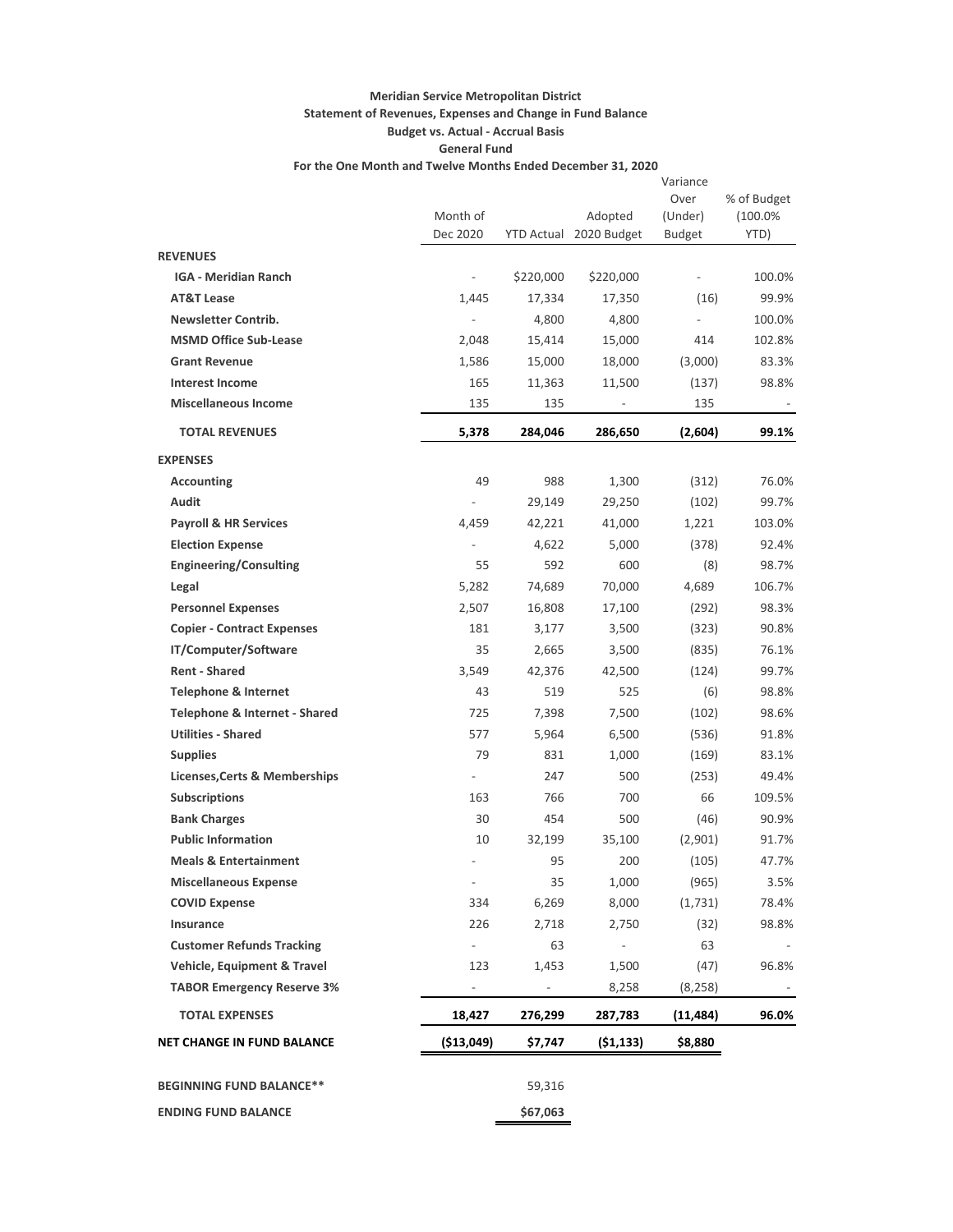## **Meridian Service Metropolitan District Statement of Revenues, Expenses and Change in Fund Balance Budget vs. Actual - Accrual Basis General Fund**

**For the One Month and Twelve Months Ended December 31, 2020**

|                                   |                              |           |                          | Variance                 |             |
|-----------------------------------|------------------------------|-----------|--------------------------|--------------------------|-------------|
|                                   |                              |           |                          | Over                     | % of Budget |
|                                   | Month of                     |           | Adopted                  | (Under)                  | (100.0%     |
|                                   | Dec 2020                     |           | YTD Actual 2020 Budget   | <b>Budget</b>            | YTD)        |
| <b>REVENUES</b>                   |                              |           |                          |                          |             |
| <b>IGA - Meridian Ranch</b>       | $\frac{1}{2}$                | \$220,000 | \$220,000                | $\overline{\phantom{a}}$ | 100.0%      |
| <b>AT&amp;T Lease</b>             | 1,445                        | 17,334    | 17,350                   | (16)                     | 99.9%       |
| <b>Newsletter Contrib.</b>        | $\qquad \qquad \blacksquare$ | 4,800     | 4,800                    | $\overline{\phantom{a}}$ | 100.0%      |
| <b>MSMD Office Sub-Lease</b>      | 2,048                        | 15,414    | 15,000                   | 414                      | 102.8%      |
| <b>Grant Revenue</b>              | 1,586                        | 15,000    | 18,000                   | (3,000)                  | 83.3%       |
| <b>Interest Income</b>            | 165                          | 11,363    | 11,500                   | (137)                    | 98.8%       |
| <b>Miscellaneous Income</b>       | 135                          | 135       |                          | 135                      |             |
| <b>TOTAL REVENUES</b>             | 5,378                        | 284,046   | 286,650                  | (2,604)                  | 99.1%       |
| <b>EXPENSES</b>                   |                              |           |                          |                          |             |
| <b>Accounting</b>                 | 49                           | 988       | 1,300                    | (312)                    | 76.0%       |
| <b>Audit</b>                      |                              | 29,149    | 29,250                   | (102)                    | 99.7%       |
| <b>Payroll &amp; HR Services</b>  | 4,459                        | 42,221    | 41,000                   | 1,221                    | 103.0%      |
| <b>Election Expense</b>           |                              | 4,622     | 5,000                    | (378)                    | 92.4%       |
| <b>Engineering/Consulting</b>     | 55                           | 592       | 600                      | (8)                      | 98.7%       |
| Legal                             | 5,282                        | 74,689    | 70,000                   | 4,689                    | 106.7%      |
| <b>Personnel Expenses</b>         | 2,507                        | 16,808    | 17,100                   | (292)                    | 98.3%       |
| <b>Copier - Contract Expenses</b> | 181                          | 3,177     | 3,500                    | (323)                    | 90.8%       |
| IT/Computer/Software              | 35                           | 2,665     | 3,500                    | (835)                    | 76.1%       |
| <b>Rent - Shared</b>              | 3,549                        | 42,376    | 42,500                   | (124)                    | 99.7%       |
| <b>Telephone &amp; Internet</b>   | 43                           | 519       | 525                      | (6)                      | 98.8%       |
| Telephone & Internet - Shared     | 725                          | 7,398     | 7,500                    | (102)                    | 98.6%       |
| <b>Utilities - Shared</b>         | 577                          | 5,964     | 6,500                    | (536)                    | 91.8%       |
| <b>Supplies</b>                   | 79                           | 831       | 1,000                    | (169)                    | 83.1%       |
| Licenses, Certs & Memberships     | $\overline{\phantom{0}}$     | 247       | 500                      | (253)                    | 49.4%       |
| <b>Subscriptions</b>              | 163                          | 766       | 700                      | 66                       | 109.5%      |
| <b>Bank Charges</b>               | 30                           | 454       | 500                      | (46)                     | 90.9%       |
| <b>Public Information</b>         | 10                           | 32,199    | 35,100                   | (2,901)                  | 91.7%       |
| <b>Meals &amp; Entertainment</b>  |                              | 95        | 200                      | (105)                    | 47.7%       |
| <b>Miscellaneous Expense</b>      | ÷                            | 35        | 1,000                    | (965)                    | 3.5%        |
| <b>COVID Expense</b>              | 334                          | 6,269     | 8,000                    | (1,731)                  | 78.4%       |
| Insurance                         | 226                          | 2,718     | 2,750                    | (32)                     | 98.8%       |
| <b>Customer Refunds Tracking</b>  | $\overline{\phantom{a}}$     | 63        | $\overline{\phantom{a}}$ | 63                       |             |
| Vehicle, Equipment & Travel       | 123                          | 1,453     | 1,500                    | (47)                     | 96.8%       |
| <b>TABOR Emergency Reserve 3%</b> | $\overline{\phantom{0}}$     |           | 8,258                    | (8, 258)                 |             |
| <b>TOTAL EXPENSES</b>             | 18,427                       | 276,299   | 287,783                  | (11,484)                 | 96.0%       |
| <b>NET CHANGE IN FUND BALANCE</b> | ( \$13,049)                  | \$7,747   | (51, 133)                | \$8,880                  |             |
| <b>BEGINNING FUND BALANCE**</b>   |                              | 59,316    |                          |                          |             |
|                                   |                              |           |                          |                          |             |
| <b>ENDING FUND BALANCE</b>        |                              | \$67,063  |                          |                          |             |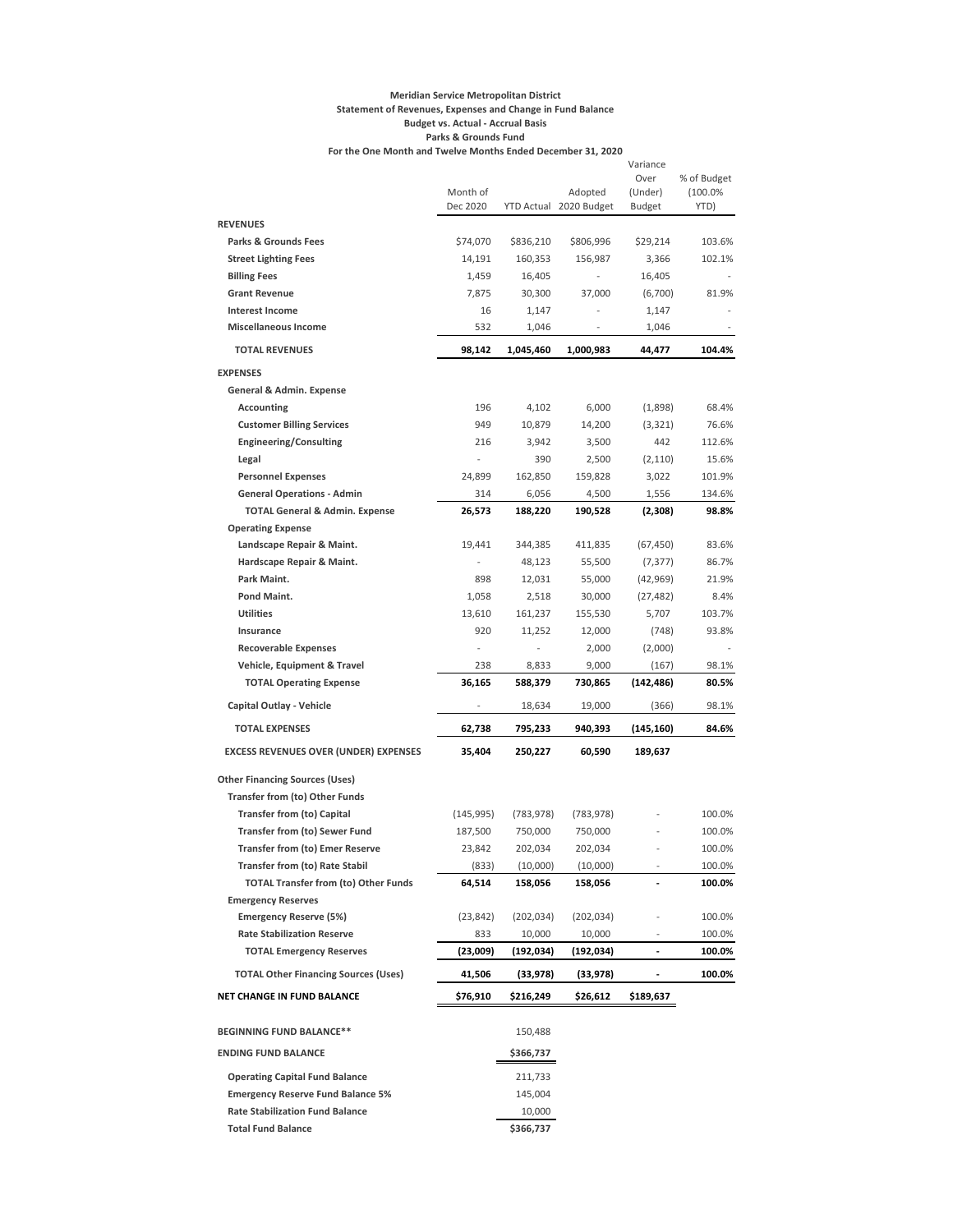#### **Meridian Service Metropolitan District Statement of Revenues, Expenses and Change in Fund Balance Budget vs. Actual - Accrual Basis Parks & Grounds Fund For the One Month and Twelve Months Ended December 31, 2020**

Month of<br>Dec 2020 Dec 2020 YTD Actual 2020 Budget Adopted Variance Over (Under) Budget % of Budget (100.0% YTD) **REVENUES Parks & Grounds Fees** \$74,070 \$836,210 \$806,996 \$29,214 103.6% **Street Lighting Fees** 160,191 160,353 156,987 3,366 102.1% **Billing Fees** 1,459 16,405 - 16,405 - 16,405 - 16,405 - 16,405 **Grant Revenue** 7,875 30,300 37,000 (6,700) 81.9% **Interest Income** 16 1,147 - 1,147 - 1,147 **Miscellaneous Income** 532 1,046 - 1,046  **TOTAL REVENUES 98,142 1,045,460 1,000,983 44,477 104.4% EXPENSES General & Admin. Expense Accounting** 196 4,102 6,000 (1,898) 68.4% **Customer Billing Services** 949 10,879 14,200 (3,321) 76.6% **Engineering/Consulting** 216 3,942 3,500 442 112.6% **Legal** - 390 2,500 (2,110) 15.6% **Personnel Expenses** 24,899 162,850 159,828 3,022 101.9% **General Operations - Admin** 314 6,056 4,500 1,556 134.6%  **TOTAL General & Admin. Expense 26,573 188,220 190,528 (2,308) 98.8% Operating Expense Landscape Repair & Maint.** 19,441 344,385 411,835 (67,450) 83.6% **Hardscape Repair & Maint.** - 48,123 55,500 (7,377) 86.7% **Park Maint.** 898 12,031 55,000 (42,969) 21.9% **Pond Maint.** 1,058 2,518 30,000 (27,482) 8.4% **Utilities** 13,610 161,237 155,530 5,707 103.7% **Insurance** 920 11,252 12,000 (748) 93.8% **Recoverable Expenses** - - 2,000 (2,000) - **Vehicle, Equipment & Travel** 238 8,833 9,000 (167) 98.1%  **TOTAL Operating Expense 36,165 588,379 730,865 (142,486) 80.5% Capital Outlay - Vehicle** 18,634 19,000 (366) 98.1%  **TOTAL EXPENSES 62,738 795,233 940,393 (145,160) 84.6% EXCESS REVENUES OVER (UNDER) EXPENSES 35,404 250,227 60,590 189,637 Other Financing Sources (Uses) Transfer from (to) Other Funds Transfer from (to) Capital** (145,995) (783,978) (783,978) - 100.0% **Transfer from (to) Sewer Fund** 187,500 750,000 750,000 - 100.0% **Transfer from (to) Emer Reserve** 23,842 202,034 202,034 - 100.0%

| NET CHANGE IN FUND BALANCE                  | \$76,910 | \$216.249  | \$26.612   | \$189.637                |        |
|---------------------------------------------|----------|------------|------------|--------------------------|--------|
| <b>TOTAL Other Financing Sources (Uses)</b> | 41,506   | (33,978)   | (33,978)   |                          | 100.0% |
| <b>TOTAL Emergency Reserves</b>             | (23,009) | (192, 034) | (192, 034) |                          | 100.0% |
| <b>Rate Stabilization Reserve</b>           | 833      | 10.000     | 10.000     |                          | 100.0% |
| <b>Emergency Reserve (5%)</b>               | (23.842) | (202, 034) | (202, 034) |                          | 100.0% |
| <b>Emergency Reserves</b>                   |          |            |            |                          |        |
| <b>TOTAL Transfer from (to) Other Funds</b> | 64.514   | 158.056    | 158.056    |                          | 100.0% |
| <b>Transfer from (to) Rate Stabil</b>       | (833)    | (10,000)   | (10,000)   |                          | 100.0% |
| <b>Transfer from (to) Emer Reserve</b>      | 23,842   | 202.034    | 202,034    |                          | 100.0% |
| <b>Transfer from (to) Sewer Fund</b>        | 187,500  | 750,000    | 750.000    |                          | 100.0% |
| Transfer from (to) Capital                  | 145,995) | (183,918)  | (783,978)  | $\overline{\phantom{a}}$ | 100.U% |

| <b>BEGINNING FUND BALANCE**</b>          | 150,488   |
|------------------------------------------|-----------|
| <b>ENDING FUND BALANCE</b>               | \$366,737 |
| <b>Operating Capital Fund Balance</b>    | 211.733   |
| <b>Emergency Reserve Fund Balance 5%</b> | 145.004   |
| <b>Rate Stabilization Fund Balance</b>   | 10,000    |
| <b>Total Fund Balance</b>                | \$366,737 |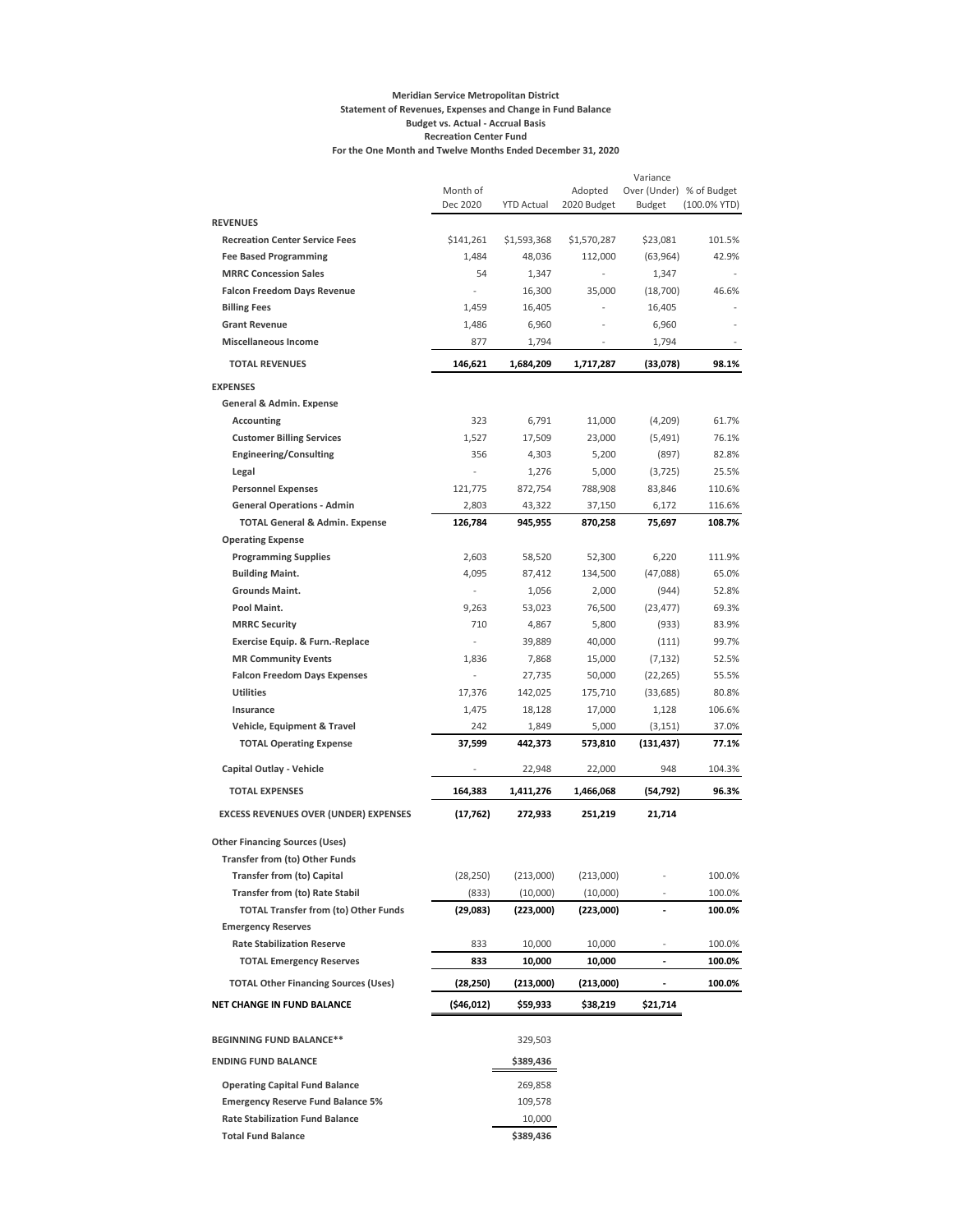#### **Meridian Service Metropolitan District Statement of Revenues, Expenses and Change in Fund Balance Budget vs. Actual - Accrual Basis Recreation Center Fund For the One Month and Twelve Months Ended December 31, 2020**

|                                              |                      |                   |                | Variance                     |                 |
|----------------------------------------------|----------------------|-------------------|----------------|------------------------------|-----------------|
|                                              | Month of<br>Dec 2020 |                   | Adopted        | Over (Under) % of Budget     |                 |
| <b>REVENUES</b>                              |                      | <b>YTD Actual</b> | 2020 Budget    | <b>Budget</b>                | $(100.0\%$ YTD) |
| <b>Recreation Center Service Fees</b>        | \$141,261            | \$1,593,368       | \$1,570,287    | \$23,081                     | 101.5%          |
| <b>Fee Based Programming</b>                 | 1,484                | 48,036            | 112,000        | (63, 964)                    | 42.9%           |
| <b>MRRC Concession Sales</b>                 | 54                   | 1,347             | $\overline{a}$ | 1,347                        |                 |
| <b>Falcon Freedom Days Revenue</b>           | ÷,                   | 16,300            | 35,000         | (18,700)                     | 46.6%           |
| <b>Billing Fees</b>                          | 1,459                | 16,405            |                | 16,405                       |                 |
| <b>Grant Revenue</b>                         | 1,486                | 6,960             |                | 6,960                        |                 |
| <b>Miscellaneous Income</b>                  | 877                  | 1,794             |                | 1,794                        |                 |
|                                              |                      |                   |                |                              |                 |
| <b>TOTAL REVENUES</b>                        | 146,621              | 1,684,209         | 1,717,287      | (33,078)                     | 98.1%           |
| <b>EXPENSES</b>                              |                      |                   |                |                              |                 |
| General & Admin. Expense                     |                      |                   |                |                              |                 |
| <b>Accounting</b>                            | 323                  | 6,791             | 11,000         | (4,209)                      | 61.7%           |
| <b>Customer Billing Services</b>             | 1,527                | 17,509            | 23,000         | (5,491)                      | 76.1%           |
| <b>Engineering/Consulting</b>                | 356                  | 4,303             | 5,200          | (897)                        | 82.8%           |
| Legal                                        | L,                   | 1,276             | 5,000          | (3, 725)                     | 25.5%           |
| <b>Personnel Expenses</b>                    | 121,775              | 872,754           | 788,908        | 83,846                       | 110.6%          |
| <b>General Operations - Admin</b>            | 2,803                | 43,322            | 37,150         | 6,172                        | 116.6%          |
| <b>TOTAL General &amp; Admin. Expense</b>    | 126,784              | 945,955           | 870,258        | 75,697                       | 108.7%          |
| <b>Operating Expense</b>                     |                      |                   |                |                              |                 |
| <b>Programming Supplies</b>                  | 2,603                | 58,520            | 52,300         | 6,220                        | 111.9%          |
| <b>Building Maint.</b>                       | 4,095                | 87,412            | 134,500        | (47,088)                     | 65.0%           |
| Grounds Maint.                               | ÷,                   | 1,056             | 2,000          | (944)                        | 52.8%           |
| Pool Maint.                                  | 9,263                | 53,023            | 76,500         | (23, 477)                    | 69.3%           |
| <b>MRRC Security</b>                         | 710                  | 4,867             | 5,800          | (933)                        | 83.9%           |
| Exercise Equip. & Furn.-Replace              | ÷,                   | 39,889            | 40,000         | (111)                        | 99.7%           |
| <b>MR Community Events</b>                   | 1,836                | 7,868             | 15,000         | (7, 132)                     | 52.5%           |
| <b>Falcon Freedom Days Expenses</b>          |                      | 27,735            | 50,000         | (22, 265)                    | 55.5%           |
| <b>Utilities</b>                             | 17,376               | 142,025           | 175,710        | (33, 685)                    | 80.8%           |
| Insurance                                    | 1,475                | 18,128            | 17,000         | 1,128                        | 106.6%          |
| Vehicle, Equipment & Travel                  | 242                  | 1,849             | 5,000          | (3, 151)                     | 37.0%           |
| <b>TOTAL Operating Expense</b>               | 37,599               | 442,373           | 573,810        | (131, 437)                   | 77.1%           |
| Capital Outlay - Vehicle                     |                      | 22,948            | 22,000         | 948                          | 104.3%          |
| <b>TOTAL EXPENSES</b>                        | 164,383              | 1,411,276         | 1,466,068      | (54, 792)                    | 96.3%           |
| <b>EXCESS REVENUES OVER (UNDER) EXPENSES</b> | (17, 762)            | 272,933           | 251,219        | 21,714                       |                 |
|                                              |                      |                   |                |                              |                 |
| <b>Other Financing Sources (Uses)</b>        |                      |                   |                |                              |                 |
| <b>Transfer from (to) Other Funds</b>        |                      |                   |                |                              |                 |
| <b>Transfer from (to) Capital</b>            | (28, 250)            | (213,000)         | (213,000)      |                              | 100.0%          |
| <b>Transfer from (to) Rate Stabil</b>        | (833)                | (10,000)          | (10,000)       |                              | 100.0%          |
| <b>TOTAL Transfer from (to) Other Funds</b>  | (29, 083)            | (223,000)         | (223,000)      |                              | 100.0%          |
| <b>Emergency Reserves</b>                    |                      |                   |                |                              |                 |
| <b>Rate Stabilization Reserve</b>            | 833                  | 10,000            | 10,000         | $\qquad \qquad \blacksquare$ | 100.0%          |
| <b>TOTAL Emergency Reserves</b>              | 833                  | 10,000            | 10,000         | ٠                            | 100.0%          |
| <b>TOTAL Other Financing Sources (Uses)</b>  | (28, 250)            | (213,000)         | (213,000)      |                              | 100.0%          |
| NET CHANGE IN FUND BALANCE                   | (\$46,012)           | \$59,933          | \$38,219       | \$21,714                     |                 |
| <b>BEGINNING FUND BALANCE**</b>              |                      | 329,503           |                |                              |                 |
| <b>ENDING FUND BALANCE</b>                   |                      | \$389,436         |                |                              |                 |
| <b>Operating Capital Fund Balance</b>        |                      | 269,858           |                |                              |                 |
| <b>Emergency Reserve Fund Balance 5%</b>     |                      | 109,578           |                |                              |                 |
| <b>Rate Stabilization Fund Balance</b>       |                      | 10,000            |                |                              |                 |

Total Fund Balance **\$389,436**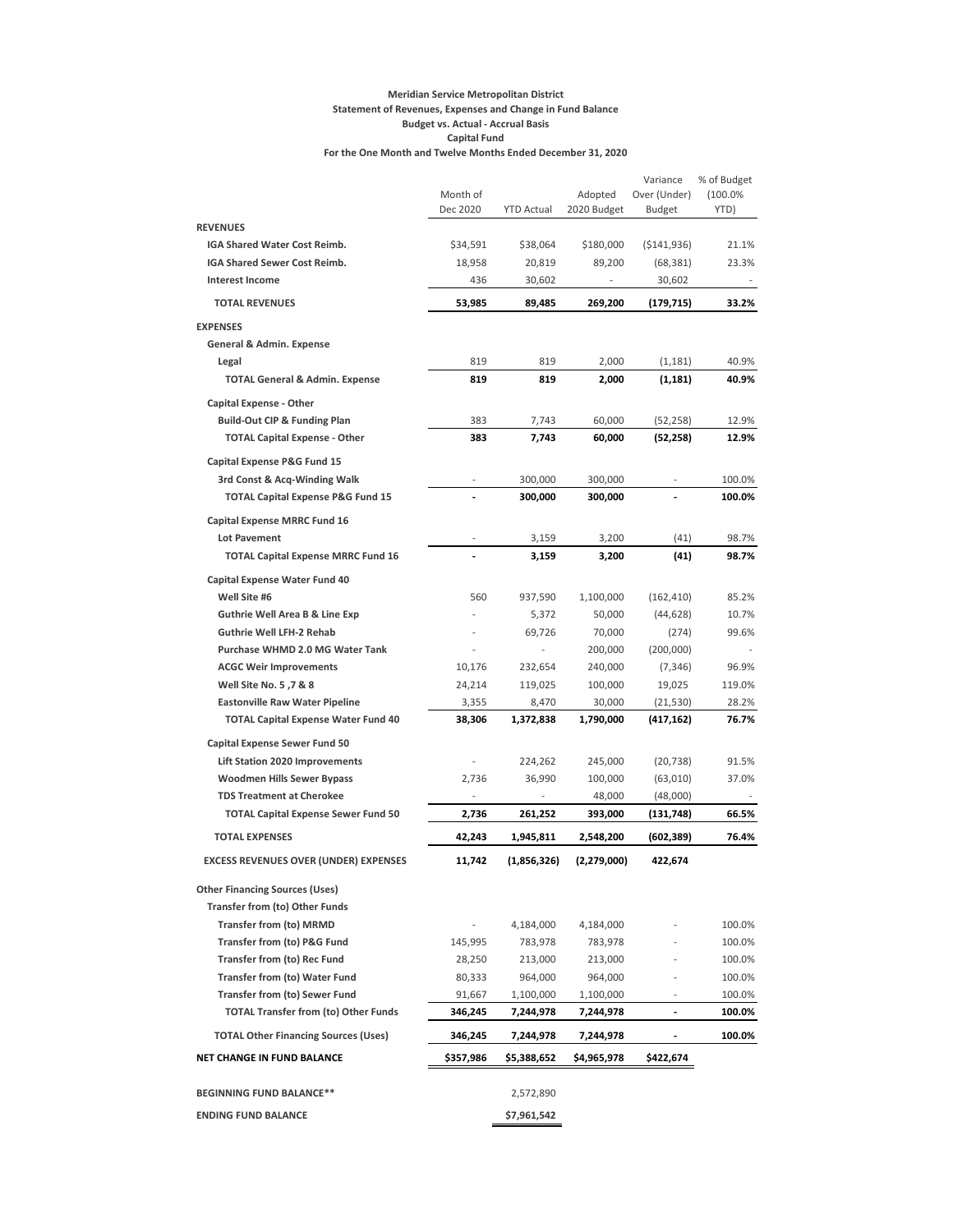#### **Meridian Service Metropolitan District Statement of Revenues, Expenses and Change in Fund Balance Budget vs. Actual - Accrual Basis Capital Fund For the One Month and Twelve Months Ended December 31, 2020**

|                                              | Month of<br>Dec 2020 | <b>YTD Actual</b> | Adopted<br>2020 Budget | Variance<br>Over (Under)<br><b>Budget</b> | % of Budget<br>(100.0%<br>YTD) |
|----------------------------------------------|----------------------|-------------------|------------------------|-------------------------------------------|--------------------------------|
| <b>REVENUES</b>                              |                      |                   |                        |                                           |                                |
| IGA Shared Water Cost Reimb.                 | \$34,591             | \$38,064          | \$180,000              | ( \$141, 936)                             | 21.1%                          |
| IGA Shared Sewer Cost Reimb.                 | 18,958               | 20,819            | 89,200                 | (68, 381)                                 | 23.3%                          |
| <b>Interest Income</b>                       | 436                  | 30,602            |                        | 30,602                                    |                                |
| <b>TOTAL REVENUES</b>                        | 53,985               | 89,485            | 269,200                | (179, 715)                                | 33.2%                          |
| <b>EXPENSES</b>                              |                      |                   |                        |                                           |                                |
| General & Admin. Expense                     |                      |                   |                        |                                           |                                |
| Legal                                        | 819                  | 819               | 2,000                  | (1, 181)                                  | 40.9%                          |
| <b>TOTAL General &amp; Admin. Expense</b>    | 819                  | 819               | 2,000                  | (1, 181)                                  | 40.9%                          |
| <b>Capital Expense - Other</b>               |                      |                   |                        |                                           |                                |
| <b>Build-Out CIP &amp; Funding Plan</b>      | 383                  | 7,743             | 60,000                 | (52, 258)                                 | 12.9%                          |
| <b>TOTAL Capital Expense - Other</b>         | 383                  | 7,743             | 60,000                 | (52, 258)                                 | 12.9%                          |
| Capital Expense P&G Fund 15                  |                      |                   |                        |                                           |                                |
| 3rd Const & Acq-Winding Walk                 |                      | 300,000           | 300,000                |                                           | 100.0%                         |
| <b>TOTAL Capital Expense P&amp;G Fund 15</b> |                      | 300,000           | 300,000                |                                           | 100.0%                         |
| <b>Capital Expense MRRC Fund 16</b>          |                      |                   |                        |                                           |                                |
| <b>Lot Pavement</b>                          |                      | 3,159             | 3,200                  | (41)                                      | 98.7%                          |
| <b>TOTAL Capital Expense MRRC Fund 16</b>    |                      | 3,159             | 3,200                  | (41)                                      | 98.7%                          |
| <b>Capital Expense Water Fund 40</b>         |                      |                   |                        |                                           |                                |
| Well Site #6                                 | 560                  | 937,590           | 1,100,000              | (162, 410)                                | 85.2%                          |
| <b>Guthrie Well Area B &amp; Line Exp</b>    |                      | 5,372             | 50,000                 | (44, 628)                                 | 10.7%                          |
| <b>Guthrie Well LFH-2 Rehab</b>              |                      | 69,726            | 70,000                 | (274)                                     | 99.6%                          |
| Purchase WHMD 2.0 MG Water Tank              |                      |                   | 200,000                | (200,000)                                 |                                |
| <b>ACGC Weir Improvements</b>                | 10,176               | 232,654           | 240,000                | (7, 346)                                  | 96.9%                          |
| Well Site No. 5, 7 & 8                       | 24,214               | 119,025           | 100,000                | 19,025                                    | 119.0%                         |
| <b>Eastonville Raw Water Pipeline</b>        | 3,355                | 8,470             | 30,000                 | (21, 530)                                 | 28.2%                          |
| <b>TOTAL Capital Expense Water Fund 40</b>   | 38,306               | 1,372,838         | 1,790,000              | (417,162)                                 | 76.7%                          |
| <b>Capital Expense Sewer Fund 50</b>         |                      |                   |                        |                                           |                                |
| <b>Lift Station 2020 Improvements</b>        |                      | 224,262           | 245,000                | (20, 738)                                 | 91.5%                          |
| <b>Woodmen Hills Sewer Bypass</b>            | 2,736                | 36,990            | 100,000                | (63,010)                                  | 37.0%                          |
| <b>TDS Treatment at Cherokee</b>             |                      |                   | 48,000                 | (48,000)                                  |                                |
| <b>TOTAL Capital Expense Sewer Fund 50</b>   | 2,736                | 261,252           | 393,000                | (131, 748)                                | 66.5%                          |
| <b>TOTAL EXPENSES</b>                        | 42,243               | 1,945,811         | 2,548,200              | (602, 389)                                | 76.4%                          |
| <b>EXCESS REVENUES OVER (UNDER) EXPENSES</b> | 11,742               | (1,856,326)       | (2,279,000)            | 422,674                                   |                                |
| <b>Other Financing Sources (Uses)</b>        |                      |                   |                        |                                           |                                |
| <b>Transfer from (to) Other Funds</b>        |                      |                   |                        |                                           |                                |
| <b>Transfer from (to) MRMD</b>               |                      | 4,184,000         | 4,184,000              |                                           | 100.0%                         |
| <b>Transfer from (to) P&amp;G Fund</b>       | 145,995              | 783,978           | 783,978                |                                           | 100.0%                         |
| Transfer from (to) Rec Fund                  | 28,250               | 213,000           | 213,000                |                                           | 100.0%                         |
| <b>Transfer from (to) Water Fund</b>         | 80,333               | 964,000           | 964,000                |                                           | 100.0%                         |
| <b>Transfer from (to) Sewer Fund</b>         | 91,667               | 1,100,000         | 1,100,000              |                                           | 100.0%                         |
| <b>TOTAL Transfer from (to) Other Funds</b>  | 346,245              | 7,244,978         | 7,244,978              | $\overline{a}$                            | 100.0%                         |
| <b>TOTAL Other Financing Sources (Uses)</b>  | 346,245              | 7,244,978         | 7,244,978              |                                           | 100.0%                         |
| NET CHANGE IN FUND BALANCE                   | \$357,986            | \$5,388,652       | \$4,965,978            | \$422,674                                 |                                |
|                                              |                      |                   |                        |                                           |                                |
| <b>BEGINNING FUND BALANCE**</b>              |                      | 2,572,890         |                        |                                           |                                |
| <b>ENDING FUND BALANCE</b>                   |                      | \$7,961,542       |                        |                                           |                                |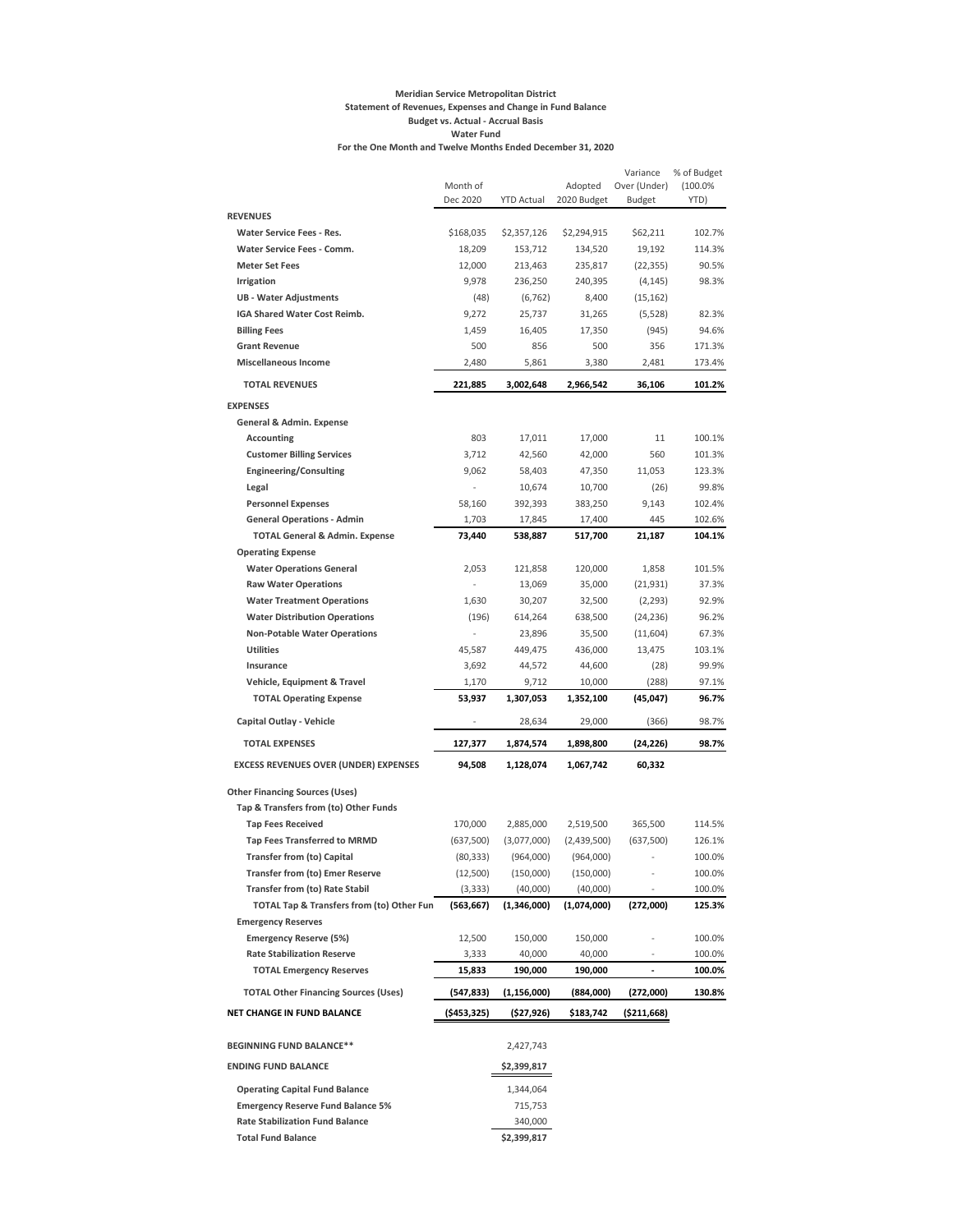#### **Meridian Service Metropolitan District Statement of Revenues, Expenses and Change in Fund Balance Budget vs. Actual - Accrual Basis Water Fund For the One Month and Twelve Months Ended December 31, 2020**

|                                              |                          |                        |                        | Variance           | % of Budget |
|----------------------------------------------|--------------------------|------------------------|------------------------|--------------------|-------------|
|                                              | Month of                 |                        | Adopted                | Over (Under)       | (100.0%     |
| <b>REVENUES</b>                              | Dec 2020                 | <b>YTD Actual</b>      | 2020 Budget            | <b>Budget</b>      | YTD)        |
| <b>Water Service Fees - Res.</b>             |                          |                        |                        |                    | 102.7%      |
| Water Service Fees - Comm.                   | \$168,035<br>18,209      | \$2,357,126<br>153,712 | \$2,294,915<br>134,520 | \$62,211<br>19,192 | 114.3%      |
| <b>Meter Set Fees</b>                        | 12,000                   | 213,463                | 235,817                | (22, 355)          | 90.5%       |
| Irrigation                                   | 9,978                    | 236,250                | 240,395                | (4, 145)           | 98.3%       |
| <b>UB - Water Adjustments</b>                | (48)                     | (6, 762)               | 8,400                  | (15, 162)          |             |
| IGA Shared Water Cost Reimb.                 | 9,272                    | 25,737                 | 31,265                 | (5,528)            | 82.3%       |
| <b>Billing Fees</b>                          | 1,459                    | 16,405                 | 17,350                 | (945)              | 94.6%       |
| <b>Grant Revenue</b>                         | 500                      | 856                    | 500                    | 356                | 171.3%      |
| <b>Miscellaneous Income</b>                  | 2,480                    | 5,861                  | 3,380                  | 2,481              | 173.4%      |
|                                              |                          |                        |                        |                    |             |
| <b>TOTAL REVENUES</b>                        | 221,885                  | 3,002,648              | 2,966,542              | 36,106             | 101.2%      |
| <b>EXPENSES</b>                              |                          |                        |                        |                    |             |
| General & Admin. Expense                     |                          |                        |                        |                    |             |
| Accounting                                   | 803                      | 17,011                 | 17,000                 | 11                 | 100.1%      |
| <b>Customer Billing Services</b>             | 3,712                    | 42,560                 | 42,000                 | 560                | 101.3%      |
| <b>Engineering/Consulting</b>                | 9,062                    | 58,403                 | 47,350                 | 11,053             | 123.3%      |
| Legal                                        | ÷,                       | 10,674                 | 10,700                 | (26)               | 99.8%       |
| <b>Personnel Expenses</b>                    | 58,160                   | 392,393                | 383,250                | 9,143              | 102.4%      |
| <b>General Operations - Admin</b>            | 1,703                    | 17,845                 | 17,400                 | 445                | 102.6%      |
| <b>TOTAL General &amp; Admin. Expense</b>    | 73,440                   | 538,887                | 517,700                | 21,187             | 104.1%      |
| <b>Operating Expense</b>                     |                          |                        |                        |                    |             |
| <b>Water Operations General</b>              | 2,053                    | 121,858                | 120,000                | 1,858              | 101.5%      |
| <b>Raw Water Operations</b>                  | $\overline{\phantom{a}}$ | 13,069                 | 35,000                 | (21, 931)          | 37.3%       |
| <b>Water Treatment Operations</b>            | 1,630                    | 30,207                 | 32,500                 | (2, 293)           | 92.9%       |
| <b>Water Distribution Operations</b>         | (196)                    | 614,264                | 638,500                | (24, 236)          | 96.2%       |
| <b>Non-Potable Water Operations</b>          |                          | 23,896                 | 35,500                 | (11,604)           | 67.3%       |
| <b>Utilities</b>                             | 45,587                   | 449,475                | 436,000                | 13,475             | 103.1%      |
| Insurance                                    | 3,692                    | 44,572                 | 44,600                 | (28)               | 99.9%       |
| Vehicle, Equipment & Travel                  | 1,170                    | 9,712                  | 10,000                 | (288)              | 97.1%       |
| <b>TOTAL Operating Expense</b>               | 53,937                   | 1,307,053              | 1,352,100              | (45,047)           | 96.7%       |
| Capital Outlay - Vehicle                     |                          | 28,634                 | 29,000                 | (366)              | 98.7%       |
| <b>TOTAL EXPENSES</b>                        | 127,377                  | 1,874,574              | 1,898,800              | (24,226)           | 98.7%       |
| <b>EXCESS REVENUES OVER (UNDER) EXPENSES</b> | 94,508                   | 1,128,074              | 1,067,742              | 60,332             |             |
| <b>Other Financing Sources (Uses)</b>        |                          |                        |                        |                    |             |
| Tap & Transfers from (to) Other Funds        |                          |                        |                        |                    |             |
| <b>Tap Fees Received</b>                     | 170,000                  | 2,885,000              | 2,519,500              | 365,500            | 114.5%      |
| <b>Tap Fees Transferred to MRMD</b>          | (637,500)                | (3,077,000)            | (2,439,500)            | (637,500)          | 126.1%      |
| <b>Transfer from (to) Capital</b>            | (80, 333)                | (964,000)              | (964,000)              |                    | 100.0%      |
| <b>Transfer from (to) Emer Reserve</b>       | (12,500)                 | (150,000)              | (150,000)              |                    | 100.0%      |
| <b>Transfer from (to) Rate Stabil</b>        | (3, 333)                 | (40,000)               | (40,000)               |                    | 100.0%      |
| TOTAL Tap & Transfers from (to) Other Fun    | (563, 667)               | (1,346,000)            | (1,074,000)            | (272,000)          | 125.3%      |
| <b>Emergency Reserves</b>                    |                          |                        |                        |                    |             |
| <b>Emergency Reserve (5%)</b>                | 12,500                   | 150,000                | 150,000                |                    | 100.0%      |
| <b>Rate Stabilization Reserve</b>            | 3,333                    | 40,000                 | 40,000                 |                    | 100.0%      |
| <b>TOTAL Emergency Reserves</b>              | 15,833                   | 190,000                | 190,000                |                    | 100.0%      |
|                                              |                          |                        |                        |                    |             |
| <b>TOTAL Other Financing Sources (Uses)</b>  | (547,833)                | (1, 156, 000)          | (884,000)              | (272,000)          | 130.8%      |
| NET CHANGE IN FUND BALANCE                   | (\$453,325)              | (\$27,926)             | \$183,742              | ( \$211,668)       |             |
| BEGINNING FUND BALANCE**                     |                          | 2,427,743              |                        |                    |             |
| <b>ENDING FUND BALANCE</b>                   |                          | \$2,399,817            |                        |                    |             |
| <b>Operating Capital Fund Balance</b>        |                          | 1,344,064              |                        |                    |             |
| <b>Emergency Reserve Fund Balance 5%</b>     |                          | 715,753                |                        |                    |             |
| <b>Rate Stabilization Fund Balance</b>       |                          | 340,000                |                        |                    |             |
| <b>Total Fund Balance</b>                    |                          | \$2,399,817            |                        |                    |             |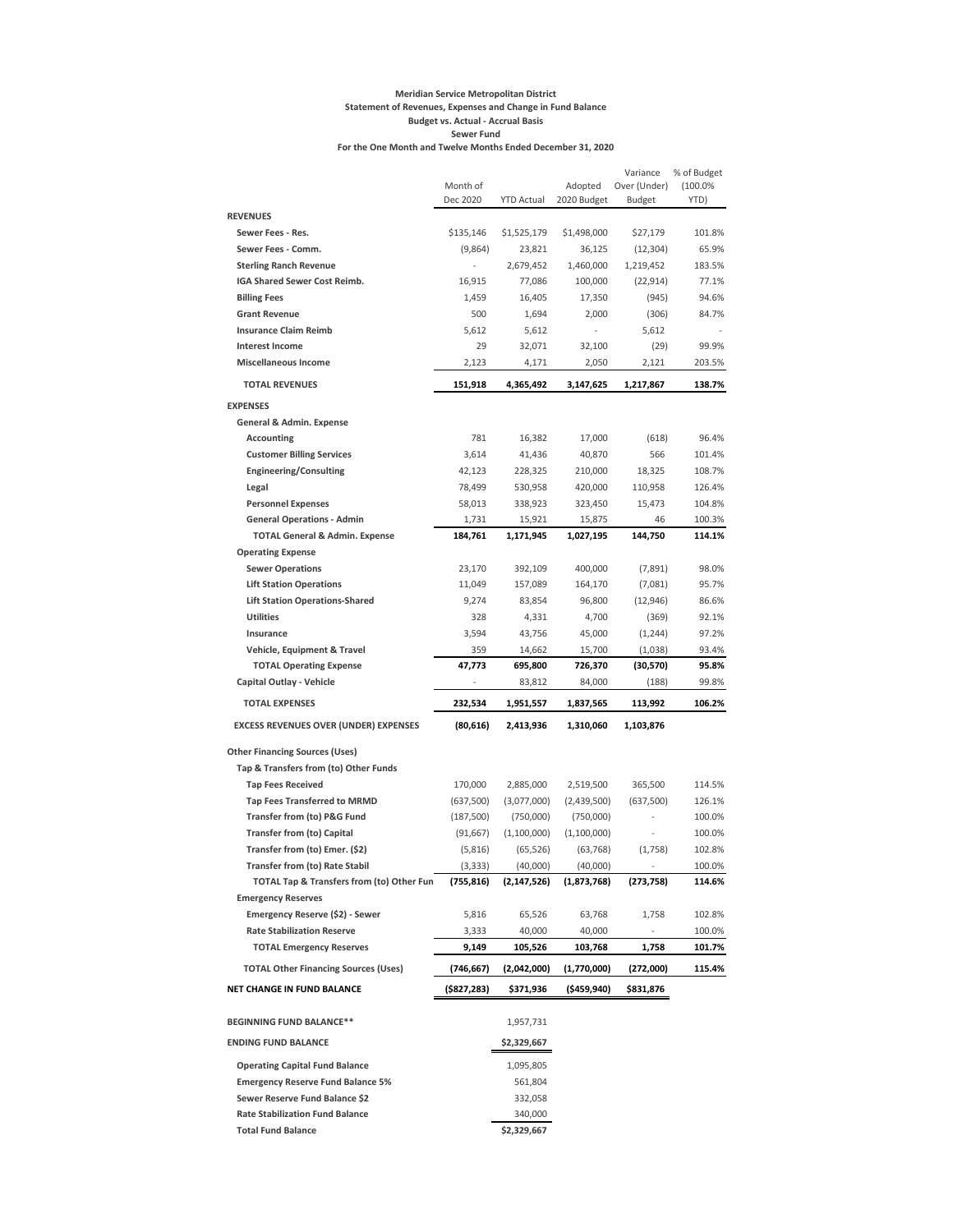#### **Meridian Service Metropolitan District Statement of Revenues, Expenses and Change in Fund Balance Budget vs. Actual - Accrual Basis Sewer Fund For the One Month and Twelve Months Ended December 31, 2020**

|                                              | Month of<br>Dec 2020 | <b>YTD Actual</b> | Adopted<br>2020 Budget | Variance<br>Over (Under)<br><b>Budget</b> | % of Budget<br>(100.0%<br>YTD) |
|----------------------------------------------|----------------------|-------------------|------------------------|-------------------------------------------|--------------------------------|
| <b>REVENUES</b>                              |                      |                   |                        |                                           |                                |
| Sewer Fees - Res.                            | \$135,146            | \$1,525,179       | \$1,498,000            | \$27,179                                  | 101.8%                         |
| Sewer Fees - Comm.                           | (9,864)              | 23,821            | 36,125                 | (12, 304)                                 | 65.9%                          |
| <b>Sterling Ranch Revenue</b>                | $\frac{1}{2}$        | 2,679,452         | 1,460,000              | 1,219,452                                 | 183.5%                         |
| IGA Shared Sewer Cost Reimb.                 | 16,915               | 77,086            | 100,000                | (22, 914)                                 | 77.1%                          |
| <b>Billing Fees</b>                          | 1,459                | 16,405            | 17,350                 | (945)                                     | 94.6%                          |
| <b>Grant Revenue</b>                         | 500                  | 1,694             | 2,000                  | (306)                                     | 84.7%                          |
| <b>Insurance Claim Reimb</b>                 | 5,612                | 5,612             |                        | 5,612                                     |                                |
| <b>Interest Income</b>                       | 29                   | 32,071            | 32,100                 | (29)                                      | 99.9%                          |
| <b>Miscellaneous Income</b>                  | 2,123                | 4,171             | 2,050                  | 2,121                                     | 203.5%                         |
| <b>TOTAL REVENUES</b>                        | 151,918              | 4,365,492         | 3,147,625              | 1,217,867                                 | 138.7%                         |
| <b>EXPENSES</b>                              |                      |                   |                        |                                           |                                |
| General & Admin. Expense                     |                      |                   |                        |                                           |                                |
| Accounting                                   | 781                  | 16,382            | 17,000                 | (618)                                     | 96.4%                          |
| <b>Customer Billing Services</b>             | 3,614                | 41,436            | 40,870                 | 566                                       | 101.4%                         |
| <b>Engineering/Consulting</b>                | 42,123               | 228,325           | 210,000                | 18,325                                    | 108.7%                         |
| Legal                                        | 78,499               | 530,958           | 420,000                | 110,958                                   | 126.4%                         |
| <b>Personnel Expenses</b>                    | 58,013               | 338,923           | 323,450                | 15,473                                    | 104.8%                         |
| <b>General Operations - Admin</b>            | 1,731                | 15,921            | 15,875                 | 46                                        | 100.3%                         |
| <b>TOTAL General &amp; Admin. Expense</b>    | 184,761              | 1,171,945         | 1,027,195              | 144,750                                   | 114.1%                         |
| <b>Operating Expense</b>                     |                      |                   |                        |                                           |                                |
| <b>Sewer Operations</b>                      | 23,170               | 392,109           | 400,000                | (7,891)                                   | 98.0%                          |
| <b>Lift Station Operations</b>               | 11,049               | 157,089           | 164,170                | (7,081)                                   | 95.7%                          |
| <b>Lift Station Operations-Shared</b>        | 9,274                | 83,854            | 96,800                 | (12, 946)                                 | 86.6%                          |
| <b>Utilities</b>                             | 328                  | 4,331             | 4,700                  | (369)                                     | 92.1%                          |
| Insurance                                    | 3,594                | 43,756            | 45,000                 | (1,244)                                   | 97.2%                          |
| Vehicle, Equipment & Travel                  | 359                  | 14,662            | 15,700                 | (1,038)                                   | 93.4%                          |
| <b>TOTAL Operating Expense</b>               | 47,773               | 695,800           | 726,370                | (30, 570)                                 | 95.8%                          |
| Capital Outlay - Vehicle                     |                      | 83,812            | 84,000                 | (188)                                     | 99.8%                          |
| <b>TOTAL EXPENSES</b>                        | 232,534              | 1,951,557         | 1,837,565              | 113,992                                   | 106.2%                         |
| <b>EXCESS REVENUES OVER (UNDER) EXPENSES</b> | (80, 616)            | 2,413,936         | 1,310,060              | 1,103,876                                 |                                |
| <b>Other Financing Sources (Uses)</b>        |                      |                   |                        |                                           |                                |
| Tap & Transfers from (to) Other Funds        |                      |                   |                        |                                           |                                |
| <b>Tap Fees Received</b>                     | 170,000              | 2,885,000         | 2,519,500              | 365,500                                   | 114.5%                         |
| <b>Tap Fees Transferred to MRMD</b>          | (637,500)            | (3,077,000)       | (2,439,500)            | (637,500)                                 | 126.1%                         |
| Transfer from (to) P&G Fund                  | (187,500)            | (750,000)         | (750,000)              |                                           | 100.0%                         |
| <b>Transfer from (to) Capital</b>            | (91, 667)            | (1,100,000)       | (1, 100, 000)          |                                           | 100.0%                         |
| Transfer from (to) Emer. (\$2)               | (5,816)              | (65, 526)         | (63, 768)              | (1,758)                                   | 102.8%                         |
| Transfer from (to) Rate Stabil               | (3, 333)             | (40,000)          | (40,000)               |                                           | 100.0%                         |
| TOTAL Tap & Transfers from (to) Other Fun    | (755, 816)           | (2,147,526)       | (1,873,768)            | (273, 758)                                | 114.6%                         |
| <b>Emergency Reserves</b>                    |                      |                   |                        |                                           |                                |
| Emergency Reserve (\$2) - Sewer              | 5,816                | 65,526            | 63,768                 | 1,758                                     | 102.8%                         |
| <b>Rate Stabilization Reserve</b>            | 3,333                | 40,000            | 40,000                 | ۰                                         | 100.0%                         |
| <b>TOTAL Emergency Reserves</b>              | 9,149                | 105,526           | 103,768                | 1,758                                     | 101.7%                         |
| <b>TOTAL Other Financing Sources (Uses)</b>  | (746,667)            | (2,042,000)       | (1,770,000)            | (272,000)                                 | 115.4%                         |
| NET CHANGE IN FUND BALANCE                   | (\$827,283)          | \$371,936         | (\$459,940)            | \$831,876                                 |                                |
| <b>BEGINNING FUND BALANCE**</b>              |                      | 1,957,731         |                        |                                           |                                |
| <b>ENDING FUND BALANCE</b>                   |                      | \$2,329,667       |                        |                                           |                                |
| <b>Operating Capital Fund Balance</b>        |                      | 1,095,805         |                        |                                           |                                |
| <b>Emergency Reserve Fund Balance 5%</b>     |                      | 561,804           |                        |                                           |                                |
| Sewer Reserve Fund Balance \$2               |                      | 332,058           |                        |                                           |                                |
| <b>Rate Stabilization Fund Balance</b>       |                      | 340,000           |                        |                                           |                                |
| <b>Total Fund Balance</b>                    |                      | \$2,329,667       |                        |                                           |                                |